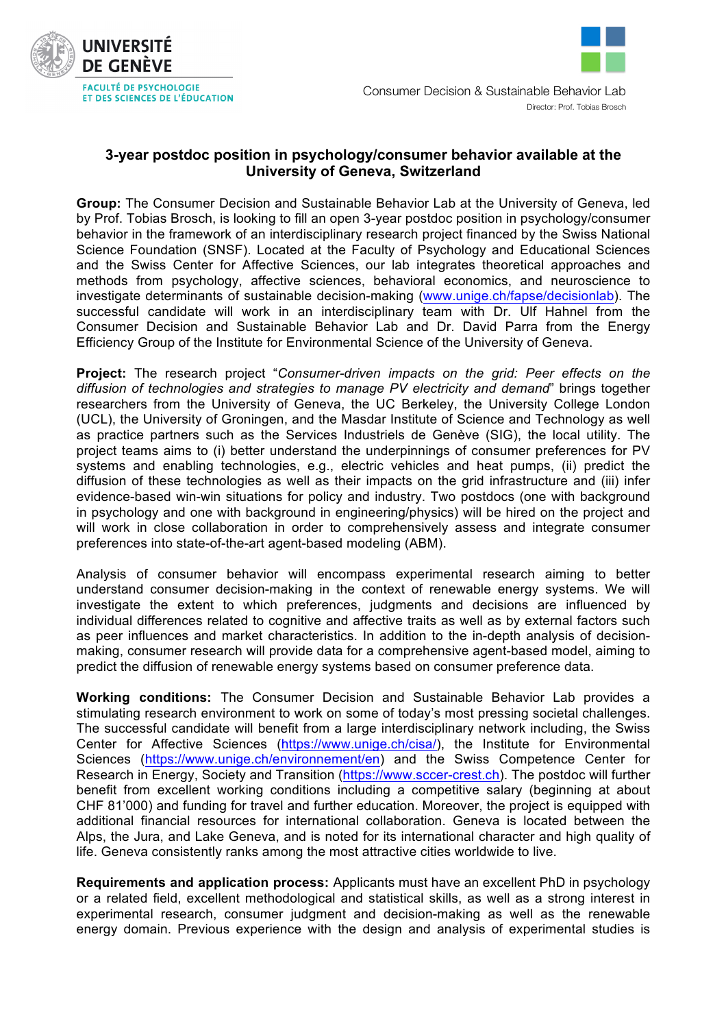



## **3-year postdoc position in psychology/consumer behavior available at the University of Geneva, Switzerland**

**Group:** The Consumer Decision and Sustainable Behavior Lab at the University of Geneva, led by Prof. Tobias Brosch, is looking to fill an open 3-year postdoc position in psychology/consumer behavior in the framework of an interdisciplinary research project financed by the Swiss National Science Foundation (SNSF). Located at the Faculty of Psychology and Educational Sciences and the Swiss Center for Affective Sciences, our lab integrates theoretical approaches and methods from psychology, affective sciences, behavioral economics, and neuroscience to investigate determinants of sustainable decision-making (www.unige.ch/fapse/decisionlab). The successful candidate will work in an interdisciplinary team with Dr. Ulf Hahnel from the Consumer Decision and Sustainable Behavior Lab and Dr. David Parra from the Energy Efficiency Group of the Institute for Environmental Science of the University of Geneva.

**Project:** The research project "*Consumer-driven impacts on the grid: Peer effects on the diffusion of technologies and strategies to manage PV electricity and demand*" brings together researchers from the University of Geneva, the UC Berkeley, the University College London (UCL), the University of Groningen, and the Masdar Institute of Science and Technology as well as practice partners such as the Services Industriels de Genève (SIG), the local utility. The project teams aims to (i) better understand the underpinnings of consumer preferences for PV systems and enabling technologies, e.g., electric vehicles and heat pumps, (ii) predict the diffusion of these technologies as well as their impacts on the grid infrastructure and (iii) infer evidence-based win-win situations for policy and industry. Two postdocs (one with background in psychology and one with background in engineering/physics) will be hired on the project and will work in close collaboration in order to comprehensively assess and integrate consumer preferences into state-of-the-art agent-based modeling (ABM).

Analysis of consumer behavior will encompass experimental research aiming to better understand consumer decision-making in the context of renewable energy systems. We will investigate the extent to which preferences, judgments and decisions are influenced by individual differences related to cognitive and affective traits as well as by external factors such as peer influences and market characteristics. In addition to the in-depth analysis of decisionmaking, consumer research will provide data for a comprehensive agent-based model, aiming to predict the diffusion of renewable energy systems based on consumer preference data.

**Working conditions:** The Consumer Decision and Sustainable Behavior Lab provides a stimulating research environment to work on some of today's most pressing societal challenges. The successful candidate will benefit from a large interdisciplinary network including, the Swiss Center for Affective Sciences (https://www.unige.ch/cisa/), the Institute for Environmental Sciences (https://www.unige.ch/environnement/en) and the Swiss Competence Center for Research in Energy, Society and Transition (https://www.sccer-crest.ch). The postdoc will further benefit from excellent working conditions including a competitive salary (beginning at about CHF 81'000) and funding for travel and further education. Moreover, the project is equipped with additional financial resources for international collaboration. Geneva is located between the Alps, the Jura, and Lake Geneva, and is noted for its international character and high quality of life. Geneva consistently ranks among the most attractive cities worldwide to live.

**Requirements and application process:** Applicants must have an excellent PhD in psychology or a related field, excellent methodological and statistical skills, as well as a strong interest in experimental research, consumer judgment and decision-making as well as the renewable energy domain. Previous experience with the design and analysis of experimental studies is